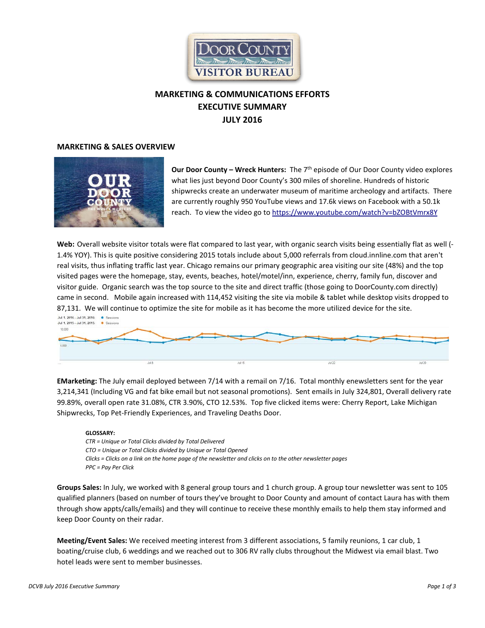

# **MARKETING & COMMUNICATIONS EFFORTS EXECUTIVE SUMMARY JULY 2016**

#### **MARKETING & SALES OVERVIEW**



**Our Door County – Wreck Hunters:** The 7th episode of Our Door County video explores what lies just beyond Door County's 300 miles of shoreline. Hundreds of historic shipwrecks create an underwater museum of maritime archeology and artifacts. There are currently roughly 950 YouTube views and 17.6k views on Facebook with a 50.1k reach. To view the video go t[o https://www.youtube.com/watch?v=bZOBtVmrx8Y](https://www.youtube.com/watch?v=bZOBtVmrx8Y)

**Web:** Overall website visitor totals were flat compared to last year, with organic search visits being essentially flat as well (- 1.4% YOY). This is quite positive considering 2015 totals include about 5,000 referrals from cloud.innline.com that aren't real visits, thus inflating traffic last year. Chicago remains our primary geographic area visiting our site (48%) and the top visited pages were the homepage, stay, events, beaches, hotel/motel/inn, experience, cherry, family fun, discover and visitor guide.Organic search was the top source to the site and direct traffic (those going to DoorCounty.com directly) came in second. Mobile again increased with 114,452 visiting the site via mobile & tablet while desktop visits dropped to 87,131. We will continue to optimize the site for mobile as it has become the more utilized device for the site. Jul 1, 2016 - Jul 31, 2016: • Sessions

| $A$ and $B$ and $B$ and $A$ and $B$ and $B$ and $B$ and $B$ and $B$ and $B$ and $B$ and $B$ and $B$ and $B$ and $B$ and $B$ and $B$ and $B$ and $B$ and $B$ and $B$ and $B$ and $B$ and $B$ and $B$ and $B$ and $B$ and $B$ a<br>10,000<br>5,000 |      |       |          |       |
|--------------------------------------------------------------------------------------------------------------------------------------------------------------------------------------------------------------------------------------------------|------|-------|----------|-------|
| 1000                                                                                                                                                                                                                                             | Aris | Jul15 | $JUI$ 22 | JU129 |

**EMarketing:** The July email deployed between 7/14 with a remail on 7/16. Total monthly enewsletters sent for the year 3,214,341 (Including VG and fat bike email but not seasonal promotions). Sent emails in July 324,801, Overall delivery rate 99.89%, overall open rate 31.08%, CTR 3.90%, CTO 12.53%. Top five clicked items were: Cherry Report, Lake Michigan Shipwrecks, Top Pet-Friendly Experiences, and Traveling Deaths Door.

#### **GLOSSARY:**

*CTR = Unique or Total Clicks divided by Total Delivered CTO = Unique or Total Clicks divided by Unique or Total Opened Clicks = Clicks on a link on the home page of the newsletter and clicks on to the other newsletter pages PPC = Pay Per Click* 

**Groups Sales:** In July, we worked with 8 general group tours and 1 church group. A group tour newsletter was sent to 105 qualified planners (based on number of tours they've brought to Door County and amount of contact Laura has with them through show appts/calls/emails) and they will continue to receive these monthly emails to help them stay informed and keep Door County on their radar.

**Meeting/Event Sales:** We received meeting interest from 3 different associations, 5 family reunions, 1 car club, 1 boating/cruise club, 6 weddings and we reached out to 306 RV rally clubs throughout the Midwest via email blast. Two hotel leads were sent to member businesses.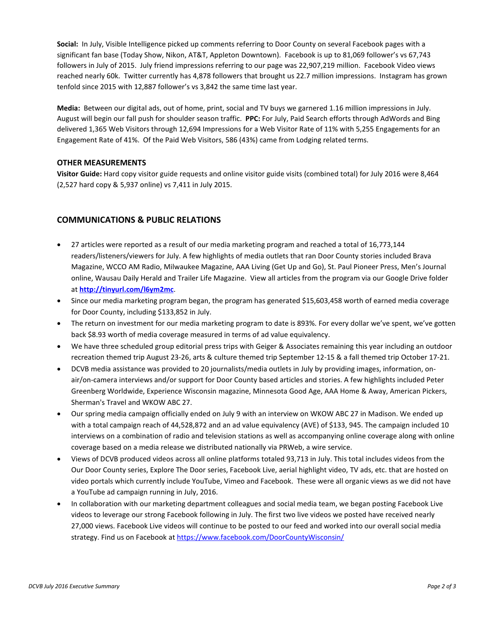**Social:** In July, Visible Intelligence picked up comments referring to Door County on several Facebook pages with a significant fan base (Today Show, Nikon, AT&T, Appleton Downtown). Facebook is up to 81,069 follower's vs 67,743 followers in July of 2015. July friend impressions referring to our page was 22,907,219 million. Facebook Video views reached nearly 60k. Twitter currently has 4,878 followers that brought us 22.7 million impressions. Instagram has grown tenfold since 2015 with 12,887 follower's vs 3,842 the same time last year.

**Media:** Between our digital ads, out of home, print, social and TV buys we garnered 1.16 million impressions in July. August will begin our fall push for shoulder season traffic. **PPC:** For July, Paid Search efforts through AdWords and Bing delivered 1,365 Web Visitors through 12,694 Impressions for a Web Visitor Rate of 11% with 5,255 Engagements for an Engagement Rate of 41%. Of the Paid Web Visitors, 586 (43%) came from Lodging related terms.

## **OTHER MEASUREMENTS**

**Visitor Guide:** Hard copy visitor guide requests and online visitor guide visits (combined total) for July 2016 were 8,464 (2,527 hard copy & 5,937 online) vs 7,411 in July 2015.

## **COMMUNICATIONS & PUBLIC RELATIONS**

- 27 articles were reported as a result of our media marketing program and reached a total of 16,773,144 readers/listeners/viewers for July. A few highlights of media outlets that ran Door County stories included Brava Magazine, WCCO AM Radio, Milwaukee Magazine, AAA Living (Get Up and Go), St. Paul Pioneer Press, Men's Journal online, Wausau Daily Herald and Trailer Life Magazine. View all articles from the program via our Google Drive folder at **<http://tinyurl.com/l6ym2mc>**.
- Since our media marketing program began, the program has generated \$15,603,458 worth of earned media coverage for Door County, including \$133,852 in July.
- The return on investment for our media marketing program to date is 893%. For every dollar we've spent, we've gotten back \$8.93 worth of media coverage measured in terms of ad value equivalency.
- We have three scheduled group editorial press trips with Geiger & Associates remaining this year including an outdoor recreation themed trip August 23-26, arts & culture themed trip September 12-15 & a fall themed trip October 17-21.
- DCVB media assistance was provided to 20 journalists/media outlets in July by providing images, information, onair/on-camera interviews and/or support for Door County based articles and stories. A few highlights included Peter Greenberg Worldwide, Experience Wisconsin magazine, Minnesota Good Age, AAA Home & Away, American Pickers, Sherman's Travel and WKOW ABC 27.
- Our spring media campaign officially ended on July 9 with an interview on WKOW ABC 27 in Madison. We ended up with a total campaign reach of 44,528,872 and an ad value equivalency (AVE) of \$133, 945. The campaign included 10 interviews on a combination of radio and television stations as well as accompanying online coverage along with online coverage based on a media release we distributed nationally via PRWeb, a wire service.
- Views of DCVB produced videos across all online platforms totaled 93,713 in July. This total includes videos from the Our Door County series, Explore The Door series, Facebook Live, aerial highlight video, TV ads, etc. that are hosted on video portals which currently include YouTube, Vimeo and Facebook. These were all organic views as we did not have a YouTube ad campaign running in July, 2016.
- In collaboration with our marketing department colleagues and social media team, we began posting Facebook Live videos to leverage our strong Facebook following in July. The first two live videos we posted have received nearly 27,000 views. Facebook Live videos will continue to be posted to our feed and worked into our overall social media strategy. Find us on Facebook a[t https://www.facebook.com/DoorCountyWisconsin/](http://r20.rs6.net/tn.jsp?f=001ZlcczXns5j-MFiXYWDsq55WSIZ2sZ5qSYjsTX5S881BCKDIs_Un_5WZ8x7RYjbhYfiIFiSVZet1BcN_grQwp--cbH6BRsyHOA76JBz_p_b_58bAdiPsSEz7A3JBihMr1JlG1hR9w-9CckFUL8TF0YRZXTqkfSoQWoM7W6_1scX01f-Kl4EtttycEfYSho8lNBc_pxzGRjq0=&c=MUKMOefDnAvghE1QAXeV-A8gKyT88dSdQ9xMayYFPTyuwFJT8cA-9A==&ch=9Eq-73vceN2fW7YH1J5V_U4ICR2uUxgsDmwJcabeCoP99S8b7QpUsA==)